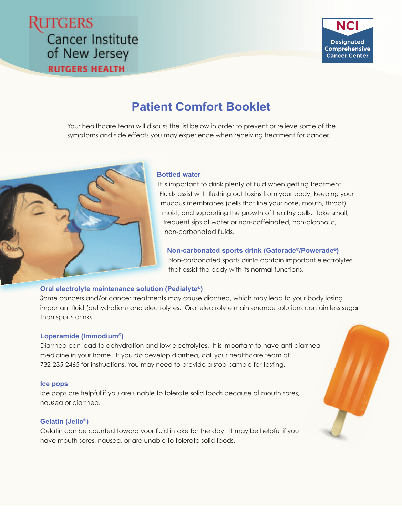# **UTGERS Cancer Institute** of New Jersey **RUTGERS HEALTH**



# **Patient Comfort Booklet**

Your healthcare team will discuss the list below in order to prevent or relieve some of the symptoms and side effects you may experience when receiving treatment for cancer.



# **Bottled water Bo**

It is important to drink plenty of fluid when getting treatment. Fluids assist with flushing out toxins from your body, keeping your mucous membranes (cells that line your nose, mouth, throat) m moist, and supporting the growth of healthy cells. Take small, m frequent sips of water or non-caffeinated, non-alcoholic, fr non-carbonated fluids.

# **Non-carbonated sports drink (Gatorade®/Powerade®)**

Non-carbonated sports drinks contain important electrolytes that assist the body with its normal functions.

# **Oral electrolyte maintenance solution (Pedialyte®) (**

Some cancers and/or cancer treatments may cause diarrhea, which may lead to your body losing important fluid (dehydration) and electrolytes. Oral electrolyte maintenance solutions contain less sugar than sports drinks.

# **Loperamide (Immodium®)**

Diarrhea can lead to dehydration and low electrolytes. It is important to have anti-diarrhea medicine in your home. If you do develop diarrhea, call your healthcare team at 732-235-2465 for instructions. You may need to provide a stool sample for testing.

## **Ice pops**

Ice pops are helpful if you are unable to tolerate solid foods because of mouth sores, nausea or diarrhea.

# **Gelatin (Jello®)**

Gelatin can be counted toward your fluid intake for the day. It may be helpful if you have mouth sores, nausea, or are unable to tolerate solid foods.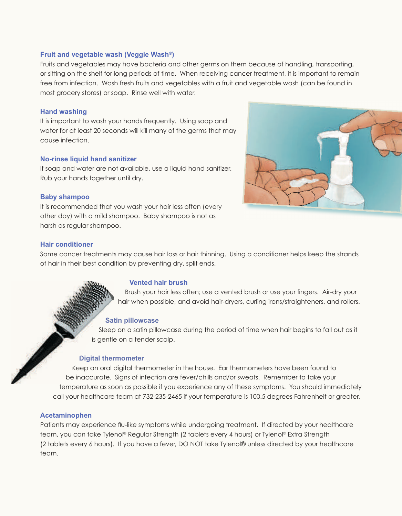## **Fruit and vegetable wash (Veggie Wash®)**

Fruits and vegetables may have bacteria and other germs on them because of handling, transporting, or sitting on the shelf for long periods of time. When receiving cancer treatment, it is important to remain free from infection. Wash fresh fruits and vegetables with a fruit and vegetable wash (can be found in most grocery stores) or soap. Rinse well with water.

## **Hand washing**

It is important to wash your hands frequently. Using soap and water for at least 20 seconds will kill many of the germs that may cause infection.

## **No-rinse liquid hand sanitizer**

If soap and water are not available, use a liquid hand sanitizer. Rub your hands together until dry.

## **Baby shampoo**

It is recommended that you wash your hair less often (every other day) with a mild shampoo. Baby shampoo is not as harsh as regular shampoo.



## **Hair conditioner**

Some cancer treatments may cause hair loss or hair thinning. Using a conditioner helps keep the strands of hair in their best condition by preventing dry, split ends.

#### **Vented hair brush**

Brush your hair less often; use a vented brush or use your fingers. Air-dry your hair when possible, and avoid hair-dryers, curling irons/straighteners, and rollers.

## **Satin pillowcase**

Sleep on a satin pillowcase during the period of time when hair begins to fall out as it is gentle on a tender scalp.

#### **Digital thermometer**

Keep an oral digital thermometer in the house. Ear thermometers have been found to K be inaccurate. Signs of infection are fever/chills and/or sweats. Remember to take your btemperature as soon as possible if you experience any of these symptoms. You should immediately call your healthcare team at 732-235-2465 if your temperature is 100.5 degrees Fahrenheit or greater.

# **Acetaminophen**

Patients may experience flu-like symptoms while undergoing treatment. If directed by your healthcare team, you can take Tylenol® Regular Strength (2 tablets every 4 hours) or Tylenol® Extra Strength (2 tablets every 6 hours). If you have a fever, DO NOT take Tylenol® unless directed by your healthcare team.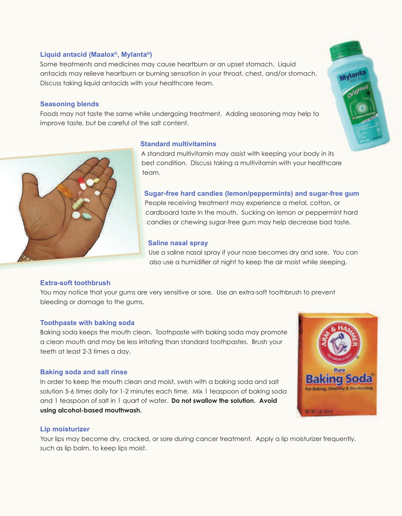# **Liquid antacid (Maalox®, Mylanta®)**

Some treatments and medicines may cause heartburn or an upset stomach. Liquid antacids may relieve heartburn or burning sensation in your throat, chest, and/or stomach. Discuss taking liquid antacids with your healthcare team.

# **Seasoning blends**

Foods may not taste the same while undergoing treatment. Adding seasoning may help to improve taste, but be careful of the salt content.



# **Standard multivitamins**

A standard multivitamin may assist with keeping your body in its A s best condition. Discuss taking a multivitamin with your healthcare be team. te

# **Sugar-free hard candies (lemon/peppermints) and sugar-free gum S**

People receiving treatment may experience a metal, cotton, or P cardboard taste in the mouth. Sucking on lemon or peppermint hard c candies or chewing sugar-free gum may help decrease bad taste. c

# **Saline nasal spray**

Use a saline nasal spray if your nose becomes dry and sore. You can also use a humidifier at night to keep the air moist while sleeping.

# **Extra-soft toothbrush**

You may notice that your gums are very sensitive or sore. Use an extra-soft toothbrush to prevent bleeding or damage to the gums.

## **Toothpaste with baking soda**

Baking soda keeps the mouth clean. Toothpaste with baking soda may promote a clean mouth and may be less irritating than standard toothpastes. Brush your teeth at least 2-3 times a day.

## **Baking soda and salt rinse**

In order to keep the mouth clean and moist, swish with a baking soda and salt solution 5-6 times daily for 1-2 minutes each time. Mix 1 teaspoon of baking soda and 1 teaspoon of salt in 1 quart of water. **Do not swallow the solution. Avoid using alcohol-based mouthwash.**



# **Lip moisturizer**

Your lips may become dry, cracked, or sore during cancer treatment. Apply a lip moisturizer frequently, such as lip balm, to keep lips moist.